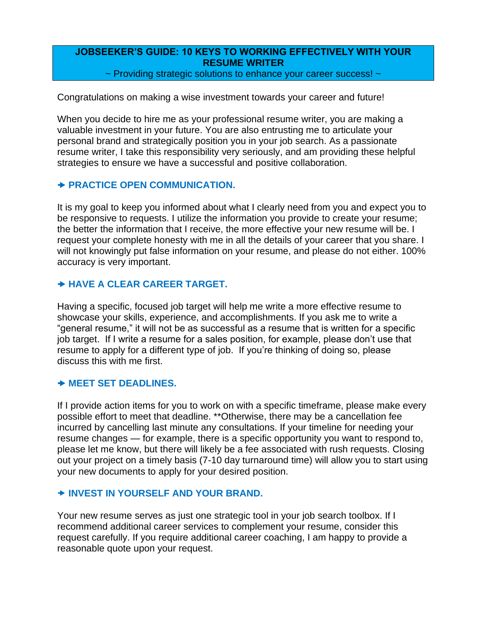# **JOBSEEKER'S GUIDE: 10 KEYS TO WORKING EFFECTIVELY WITH YOUR RESUME WRITER**

~ Providing strategic solutions to enhance your career success! ~

Congratulations on making a wise investment towards your career and future!

When you decide to hire me as your professional resume writer, you are making a valuable investment in your future. You are also entrusting me to articulate your personal brand and strategically position you in your job search. As a passionate resume writer, I take this responsibility very seriously, and am providing these helpful strategies to ensure we have a successful and positive collaboration.

#### **PRACTICE OPEN COMMUNICATION.**

It is my goal to keep you informed about what I clearly need from you and expect you to be responsive to requests. I utilize the information you provide to create your resume; the better the information that I receive, the more effective your new resume will be. I request your complete honesty with me in all the details of your career that you share. I will not knowingly put false information on your resume, and please do not either. 100% accuracy is very important.

### **HAVE A CLEAR CAREER TARGET.**

Having a specific, focused job target will help me write a more effective resume to showcase your skills, experience, and accomplishments. If you ask me to write a "general resume," it will not be as successful as a resume that is written for a specific job target. If I write a resume for a sales position, for example, please don't use that resume to apply for a different type of job. If you're thinking of doing so, please discuss this with me first.

#### **MEET SET DEADLINES.**

If I provide action items for you to work on with a specific timeframe, please make every possible effort to meet that deadline. \*\*Otherwise, there may be a cancellation fee incurred by cancelling last minute any consultations. If your timeline for needing your resume changes — for example, there is a specific opportunity you want to respond to, please let me know, but there will likely be a fee associated with rush requests. Closing out your project on a timely basis (7-10 day turnaround time) will allow you to start using your new documents to apply for your desired position.

#### **INVEST IN YOURSELF AND YOUR BRAND.**

Your new resume serves as just one strategic tool in your job search toolbox. If I recommend additional career services to complement your resume, consider this request carefully. If you require additional career coaching, I am happy to provide a reasonable quote upon your request.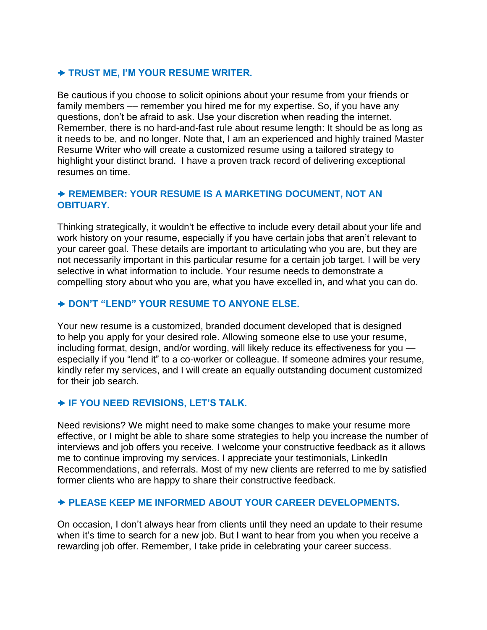# **TRUST ME, [I'M YOUR RESUME WRITER.](http://www.creativehorizonsresumes.com/aboutlori)**

Be cautious if you choose to solicit opinions about your resume from your friends or family members –– remember you hired me for my expertise. So, if you have any questions, don't be afraid to ask. Use your discretion when reading the internet. Remember, there is no hard-and-fast rule about resume length: It should be as long as it needs to be, and no longer. Note that, I am an experienced and highly trained Master Resume Writer who will create a customized resume using a tailored strategy to highlight your distinct brand. I have a proven track record of delivering exceptional resumes on time.

### **REMEMBER: YOUR RESUME IS A MARKETING DOCUMENT, NOT AN OBITUARY.**

Thinking strategically, it wouldn't be effective to include every detail about your life and work history on your resume, especially if you have certain jobs that aren't relevant to your career goal. These details are important to articulating who you are, but they are not necessarily important in this particular resume for a certain job target. I will be very selective in what information to include. Your resume needs to demonstrate a compelling story about who you are, what you have excelled in, and what you can do.

## **DON'T "LEND" YOUR RESUME TO ANYONE ELSE.**

Your new resume is a customized, branded document developed that is designed to help you apply for your desired role. Allowing someone else to use your resume, including format, design, and/or wording, will likely reduce its effectiveness for you especially if you "lend it" to a co-worker or colleague. If someone admires your resume, kindly refer my services, and I will create an equally outstanding document customized for their job search.

### **IF YOU NEED REVISIONS, LET'S TALK.**

Need revisions? We might need to make some changes to make your resume more effective, or I might be able to share some strategies to help you increase the number of interviews and job offers you receive. I welcome your constructive feedback as it allows me to continue improving my services. I appreciate your testimonials, LinkedIn Recommendations, and referrals. Most of my new clients are referred to me by satisfied former clients who are happy to share their constructive feedback.

### **PLEASE KEEP ME INFORMED ABOUT YOUR CAREER DEVELOPMENTS.**

On occasion, I don't always hear from clients until they need an update to their resume when it's time to search for a new job. But I want to hear from you when you receive a rewarding job offer. Remember, I take pride in celebrating your career success.